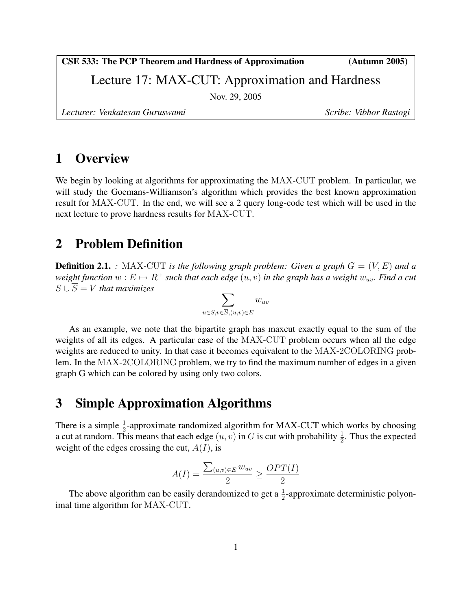CSE 533: The PCP Theorem and Hardness of Approximation (Autumn 2005)

Lecture 17: MAX-CUT: Approximation and Hardness

Nov. 29, 2005

Lecturer: Venkatesan Guruswami **Scribe: Vibhor Rastogi** Scribe: Vibhor Rastogi

## 1 Overview

We begin by looking at algorithms for approximating the MAX-CUT problem. In particular, we will study the Goemans-Williamson's algorithm which provides the best known approximation result for MAX-CUT. In the end, we will see a 2 query long-code test which will be used in the next lecture to prove hardness results for MAX-CUT.

# 2 Problem Definition

**Definition 2.1.** *:* MAX-CUT *is the following graph problem: Given a graph*  $G = (V, E)$  *and a weight function*  $w : E \mapsto R^+$  *such that each edge*  $(u, v)$  *in the graph has a weight*  $w_{uv}$ *. Find a cut*  $S \cup \overline{S} = V$  *that maximizes* 

$$
\sum_{u \in S, v \in \overline{S}, (u, v) \in E} w_{uv}
$$

As an example, we note that the bipartite graph has maxcut exactly equal to the sum of the weights of all its edges. A particular case of the MAX-CUT problem occurs when all the edge weights are reduced to unity. In that case it becomes equivalent to the MAX-2COLORING problem. In the MAX-2COLORING problem, we try to find the maximum number of edges in a given graph G which can be colored by using only two colors.

# 3 Simple Approximation Algorithms

There is a simple  $\frac{1}{2}$ -approximate randomized algorithm for MAX-CUT which works by choosing a cut at random. This means that each edge  $(u, v)$  in G is cut with probability  $\frac{1}{2}$ . Thus the expected weight of the edges crossing the cut,  $A(I)$ , is

$$
A(I) = \frac{\sum_{(u,v)\in E} w_{uv}}{2} \ge \frac{OPT(I)}{2}
$$

The above algorithm can be easily derandomized to get a  $\frac{1}{2}$ -approximate deterministic polyonimal time algorithm for MAX-CUT.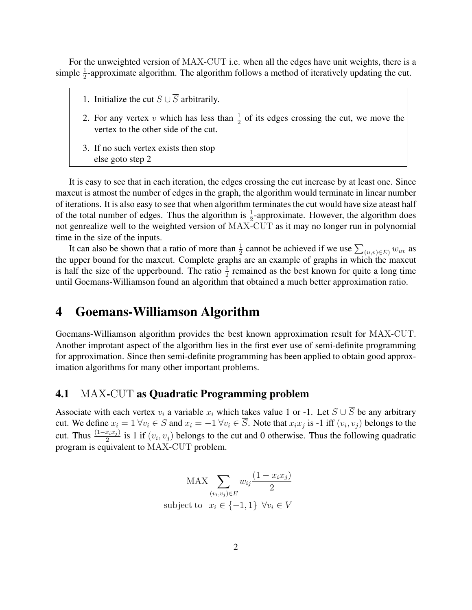For the unweighted version of MAX-CUT i.e. when all the edges have unit weights, there is a simple  $\frac{1}{2}$ -approximate algorithm. The algorithm follows a method of iteratively updating the cut.

- 1. Initialize the cut  $S \cup \overline{S}$  arbitrarily.
- 2. For any vertex v which has less than  $\frac{1}{2}$  of its edges crossing the cut, we move the vertex to the other side of the cut.
- 3. If no such vertex exists then stop else goto step 2

It is easy to see that in each iteration, the edges crossing the cut increase by at least one. Since maxcut is atmost the number of edges in the graph, the algorithm would terminate in linear number of iterations. It is also easy to see that when algorithm terminates the cut would have size ateast half of the total number of edges. Thus the algorithm is  $\frac{1}{2}$ -approximate. However, the algorithm does not genrealize well to the weighted version of MAX-CUT as it may no longer run in polynomial time in the size of the inputs.

It can also be shown that a ratio of more than  $\frac{1}{2}$  cannot be achieved if we use  $\sum_{(u,v)\in E} w_{uv}$  as the upper bound for the maxcut. Complete graphs are an example of graphs in which the maxcut is half the size of the upperbound. The ratio  $\frac{1}{2}$  remained as the best known for quite a long time until Goemans-Williamson found an algorithm that obtained a much better approximation ratio.

### 4 Goemans-Williamson Algorithm

Goemans-Williamson algorithm provides the best known approximation result for MAX-CUT. Another improtant aspect of the algorithm lies in the first ever use of semi-definite programming for approximation. Since then semi-definite programming has been applied to obtain good approximation algorithms for many other important problems.

#### 4.1 MAX-CUT as Quadratic Programming problem

Associate with each vertex  $v_i$  a variable  $x_i$  which takes value 1 or -1. Let  $S \cup \overline{S}$  be any arbitrary cut. We define  $x_i = 1 \,\forall v_i \in S$  and  $x_i = -1 \,\forall v_i \in S$ . Note that  $x_i x_j$  is -1 iff  $(v_i, v_j)$  belongs to the cut. Thus  $\frac{(1-x_ix_j)}{2}$  is 1 if  $(v_i, v_j)$  belongs to the cut and 0 otherwise. Thus the following quadratic program is equivalent to MAX-CUT problem.

$$
\text{MAX} \sum_{(v_i, v_j) \in E} w_{ij} \frac{(1 - x_i x_j)}{2}
$$
  
subject to  $x_i \in \{-1, 1\} \quad \forall v_i \in V$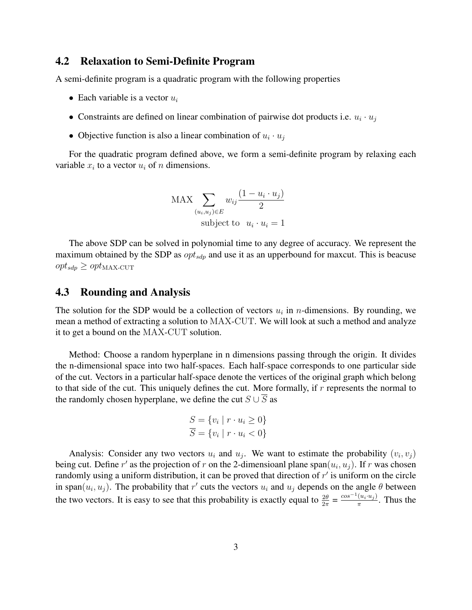### 4.2 Relaxation to Semi-Definite Program

A semi-definite program is a quadratic program with the following properties

- Each variable is a vector  $u_i$
- Constraints are defined on linear combination of pairwise dot products i.e.  $u_i \cdot u_j$
- Objective function is also a linear combination of  $u_i \cdot u_j$

For the quadratic program defined above, we form a semi-definite program by relaxing each variable  $x_i$  to a vector  $u_i$  of n dimensions.

MAX 
$$
\sum_{(u_i, u_j) \in E} w_{ij} \frac{(1 - u_i \cdot u_j)}{2}
$$
  
subject to  $u_i \cdot u_i = 1$ 

The above SDP can be solved in polynomial time to any degree of accuracy. We represent the maximum obtained by the SDP as  $opt_{sdp}$  and use it as an upperbound for maxcut. This is beacuse  $opt_{sdp} \geq opt_{MAX-CUT}$ 

### 4.3 Rounding and Analysis

The solution for the SDP would be a collection of vectors  $u_i$  in *n*-dimensions. By rounding, we mean a method of extracting a solution to MAX-CUT. We will look at such a method and analyze it to get a bound on the MAX-CUT solution.

Method: Choose a random hyperplane in n dimensions passing through the origin. It divides the n-dimensional space into two half-spaces. Each half-space corresponds to one particular side of the cut. Vectors in a particular half-space denote the vertices of the original graph which belong to that side of the cut. This uniquely defines the cut. More formally, if  $r$  represents the normal to the randomly chosen hyperplane, we define the cut  $S \cup \overline{S}$  as

$$
S = \{v_i \mid r \cdot u_i \ge 0\}
$$

$$
\overline{S} = \{v_i \mid r \cdot u_i < 0\}
$$

Analysis: Consider any two vectors  $u_i$  and  $u_j$ . We want to estimate the probability  $(v_i, v_j)$ being cut. Define r' as the projection of r on the 2-dimensioanl plane span $(u_i, u_j)$ . If r was chosen randomly using a uniform distribution, it can be proved that direction of  $r'$  is uniform on the circle in span $(u_i, u_j)$ . The probability that r' cuts the vectors  $u_i$  and  $u_j$  depends on the angle  $\theta$  between the two vectors. It is easy to see that this probability is exactly equal to  $\frac{2\theta}{2\pi} = \frac{\cos^{-1}(u_i \cdot u_j)}{\pi}$  $\frac{(u_i \cdot u_j)}{\pi}$ . Thus the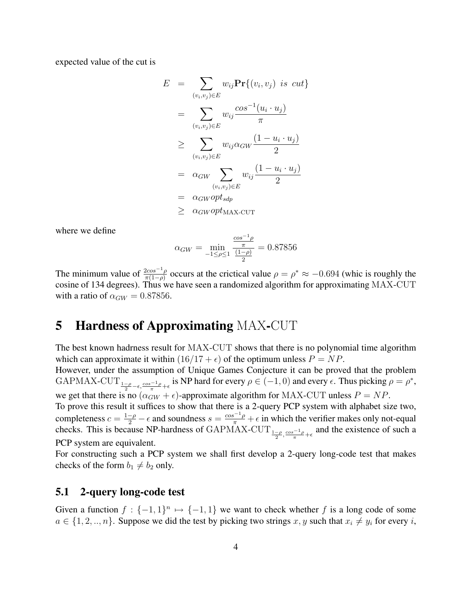expected value of the cut is

$$
E = \sum_{(v_i, v_j) \in E} w_{ij} \mathbf{Pr}\{(v_i, v_j) \text{ is cut}\}\
$$
  
\n
$$
= \sum_{(v_i, v_j) \in E} w_{ij} \frac{\cos^{-1}(u_i \cdot u_j)}{\pi}
$$
  
\n
$$
\geq \sum_{(v_i, v_j) \in E} w_{ij} \alpha_{GW} \frac{(1 - u_i \cdot u_j)}{2}
$$
  
\n
$$
= \alpha_{GW} \sum_{(v_i, v_j) \in E} w_{ij} \frac{(1 - u_i \cdot u_j)}{2}
$$
  
\n
$$
= \alpha_{GW} opt_{sdp}
$$
  
\n
$$
\geq \alpha_{GW} opt_{MAX-CUT}
$$

where we define

$$
\alpha_{GW} = \min_{-1 \le \rho \le 1} \frac{\frac{\cos^{-1}\rho}{\pi}}{\frac{(1-\rho)}{2}} = 0.87856
$$

The minimum value of  $\frac{2cos^{-1}\rho}{\pi(1-\rho)}$  occurs at the crictical value  $\rho = \rho^* \approx -0.694$  (whic is roughly the cosine of 134 degrees). Thus we have seen a randomized algorithm for approximating MAX-CUT with a ratio of  $\alpha_{GW} = 0.87856$ .

## 5 Hardness of Approximating MAX-CUT

The best known hadrness result for MAX-CUT shows that there is no polynomial time algorithm which can approximate it within  $(16/17 + \epsilon)$  of the optimum unless  $P = NP$ .

However, under the assumption of Unique Games Conjecture it can be proved that the problem GAPMAX-CUT  $_{\frac{1-\rho}{2}-\epsilon,\frac{\cos^{-1}\rho}{\pi}+\epsilon}$  is NP hard for every  $\rho \in (-1,0)$  and every  $\epsilon$ . Thus picking  $\rho = \rho^*$ , we get that there is no  $(\alpha_{GW}^{\dagger} + \epsilon)$ -approximate algorithm for MAX-CUT unless  $P = NP$ .

To prove this result it suffices to show that there is a 2-query PCP system with alphabet size two, completeness  $c = \frac{1-\rho}{2} - \epsilon$  and soundness  $s = \frac{\cos^{-1}\rho}{\pi} + \epsilon$  in which the verifier makes only not-equal checks. This is because NP-hardness of GAPMAX-CUT<sub> $\frac{1-\rho}{2}, \frac{\cos^{-1}\rho}{\pi} + \epsilon$ </sub> and the existence of such a PCP system are equivalent.

For constructing such a PCP system we shall first develop a 2-query long-code test that makes checks of the form  $b_1 \neq b_2$  only.

### 5.1 2-query long-code test

Given a function  $f: \{-1,1\}^n \mapsto \{-1,1\}$  we want to check whether f is a long code of some  $a \in \{1, 2, ..., n\}$ . Suppose we did the test by picking two strings x, y such that  $x_i \neq y_i$  for every i,